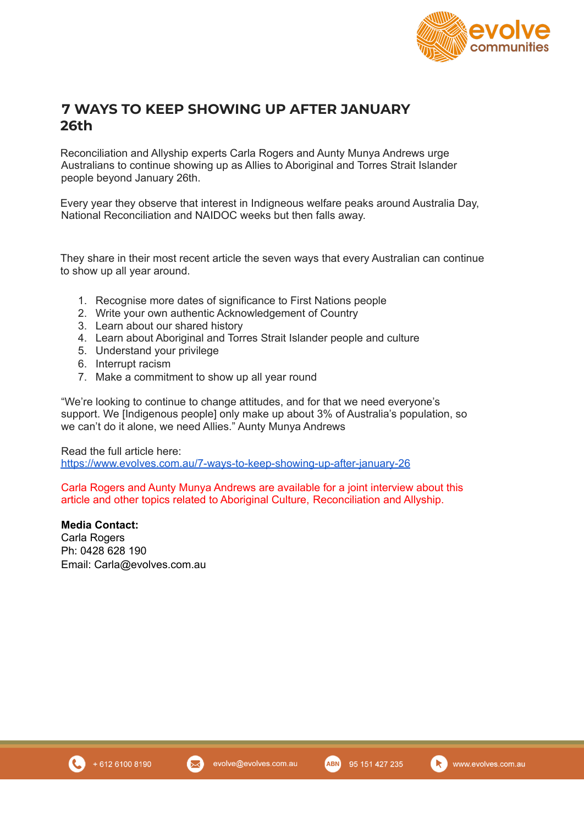

## **7 WAYS TO KEEP SHOWING UP AFTER JANUARY 26th**

Reconciliation and Allyship experts Carla Rogers and Aunty Munya Andrews urge Australians to continue showing up as Allies to Aboriginal and Torres Strait Islander people beyond January 26th.

Every year they observe that interest in Indigneous welfare peaks around Australia Day, National Reconciliation and NAIDOC weeks but then falls away.

They share in their most recent article the seven ways that every Australian can continue to show up all year around.

- 1. Recognise more dates of significance to First Nations people
- 2. Write your own authentic Acknowledgement of Country
- 3. Learn about our shared history
- 4. Learn about Aboriginal and Torres Strait Islander people and culture
- 5. Understand your privilege
- 6. Interrupt racism
- 7. Make a commitment to show up all year round

"We're looking to continue to change attitudes, and for that we need everyone's support. We [Indigenous people] only make up about 3% of Australia's population, so we can't do it alone, we need Allies." Aunty Munya Andrews

Read the full article here: <https://www.evolves.com.au/7-ways-to-keep-showing-up-after-january-26>

Carla Rogers and Aunty Munya Andrews are available for a joint interview about this article and other topics related to Aboriginal Culture, Reconciliation and Allyship.

**Media Contact:** Carla Rogers Ph: 0428 628 190 Email: Carla@evolves.com.au



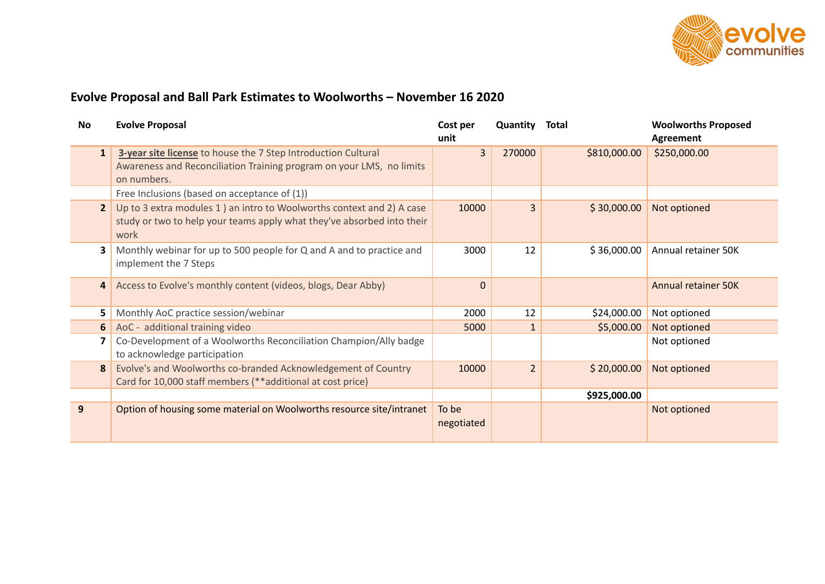

## **Evolve Proposal and Ball Park Estimates to Woolworths – November 16 2020**

| No             | <b>Evolve Proposal</b>                                                                                                                                   | Cost per<br>unit    | Quantity       | <b>Total</b> | <b>Woolworths Proposed</b><br><b>Agreement</b> |
|----------------|----------------------------------------------------------------------------------------------------------------------------------------------------------|---------------------|----------------|--------------|------------------------------------------------|
| $\mathbf{1}$   | 3-year site license to house the 7 Step Introduction Cultural<br>Awareness and Reconciliation Training program on your LMS, no limits<br>on numbers.     | 3                   | 270000         | \$810,000.00 | \$250,000.00                                   |
|                | Free Inclusions (based on acceptance of (1))                                                                                                             |                     |                |              |                                                |
| $\overline{2}$ | Up to 3 extra modules 1 ) an intro to Woolworths context and 2) A case<br>study or two to help your teams apply what they've absorbed into their<br>work | 10000               | $\overline{3}$ | \$30,000.00  | Not optioned                                   |
| 3              | Monthly webinar for up to 500 people for Q and A and to practice and<br>implement the 7 Steps                                                            | 3000                | 12             | \$36,000.00  | Annual retainer 50K                            |
| $\overline{a}$ | Access to Evolve's monthly content (videos, blogs, Dear Abby)                                                                                            | $\Omega$            |                |              | <b>Annual retainer 50K</b>                     |
| 5              | Monthly AoC practice session/webinar                                                                                                                     | 2000                | 12             | \$24,000.00  | Not optioned                                   |
| 6              | AoC - additional training video                                                                                                                          | 5000                | $\mathbf{1}$   | \$5,000.00   | Not optioned                                   |
| 7              | Co-Development of a Woolworths Reconciliation Champion/Ally badge<br>to acknowledge participation                                                        |                     |                |              | Not optioned                                   |
| 8              | Evolve's and Woolworths co-branded Acknowledgement of Country<br>Card for 10,000 staff members (**additional at cost price)                              | 10000               | $\overline{2}$ | \$20,000.00  | Not optioned                                   |
|                |                                                                                                                                                          |                     |                | \$925,000.00 |                                                |
| 9              | Option of housing some material on Woolworths resource site/intranet                                                                                     | To be<br>negotiated |                |              | Not optioned                                   |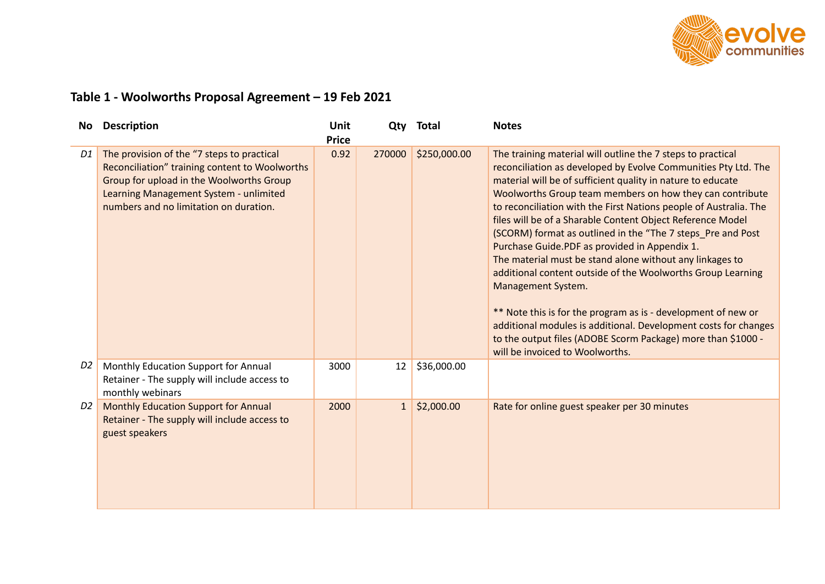

## **Table 1 - Woolworths Proposal Agreement – 19 Feb 2021**

| <b>No</b>      | <b>Description</b>                                                                                                                                                                                                           | Unit<br><b>Price</b> | Qty      | <b>Total</b> | <b>Notes</b>                                                                                                                                                                                                                                                                                                                                                                                                                                                                                                                                                                                                                                                                                                                                                                                                                                                                                        |
|----------------|------------------------------------------------------------------------------------------------------------------------------------------------------------------------------------------------------------------------------|----------------------|----------|--------------|-----------------------------------------------------------------------------------------------------------------------------------------------------------------------------------------------------------------------------------------------------------------------------------------------------------------------------------------------------------------------------------------------------------------------------------------------------------------------------------------------------------------------------------------------------------------------------------------------------------------------------------------------------------------------------------------------------------------------------------------------------------------------------------------------------------------------------------------------------------------------------------------------------|
| D1             | The provision of the "7 steps to practical<br>Reconciliation" training content to Woolworths<br>Group for upload in the Woolworths Group<br>Learning Management System - unlimited<br>numbers and no limitation on duration. | 0.92                 | 270000   | \$250,000.00 | The training material will outline the 7 steps to practical<br>reconciliation as developed by Evolve Communities Pty Ltd. The<br>material will be of sufficient quality in nature to educate<br>Woolworths Group team members on how they can contribute<br>to reconciliation with the First Nations people of Australia. The<br>files will be of a Sharable Content Object Reference Model<br>(SCORM) format as outlined in the "The 7 steps_Pre and Post<br>Purchase Guide.PDF as provided in Appendix 1.<br>The material must be stand alone without any linkages to<br>additional content outside of the Woolworths Group Learning<br>Management System.<br>** Note this is for the program as is - development of new or<br>additional modules is additional. Development costs for changes<br>to the output files (ADOBE Scorm Package) more than \$1000 -<br>will be invoiced to Woolworths. |
| D <sub>2</sub> | Monthly Education Support for Annual<br>Retainer - The supply will include access to<br>monthly webinars                                                                                                                     | 3000                 | 12       | \$36,000.00  |                                                                                                                                                                                                                                                                                                                                                                                                                                                                                                                                                                                                                                                                                                                                                                                                                                                                                                     |
| D <sub>2</sub> | Monthly Education Support for Annual<br>Retainer - The supply will include access to<br>guest speakers                                                                                                                       | 2000                 | $1\vert$ | \$2,000.00   | Rate for online guest speaker per 30 minutes                                                                                                                                                                                                                                                                                                                                                                                                                                                                                                                                                                                                                                                                                                                                                                                                                                                        |